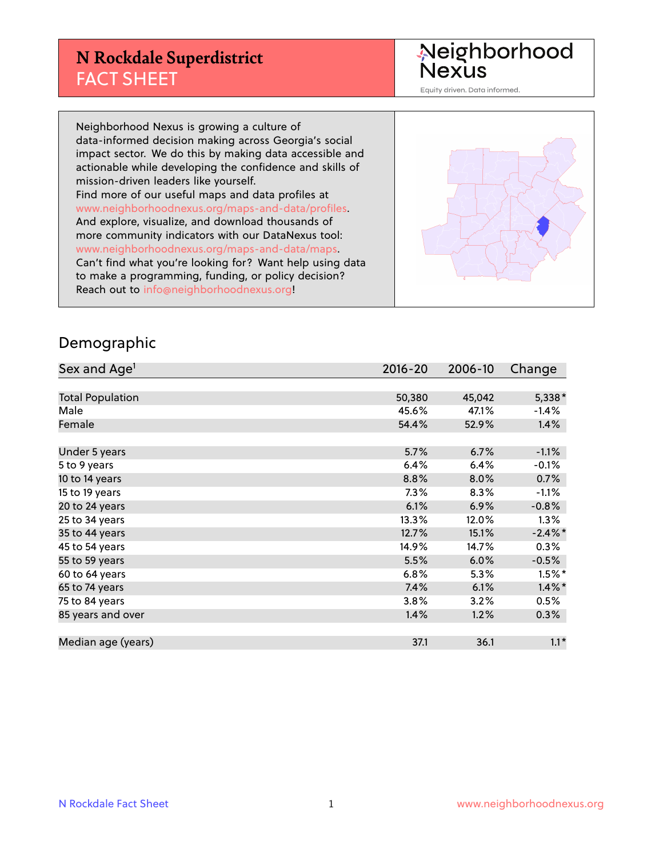## **N Rockdale Superdistrict** FACT SHEET

Neighborhood<br>Nexus

Equity driven. Data informed.

Neighborhood Nexus is growing a culture of data-informed decision making across Georgia's social impact sector. We do this by making data accessible and actionable while developing the confidence and skills of mission-driven leaders like yourself. Find more of our useful maps and data profiles at www.neighborhoodnexus.org/maps-and-data/profiles. And explore, visualize, and download thousands of more community indicators with our DataNexus tool: www.neighborhoodnexus.org/maps-and-data/maps. Can't find what you're looking for? Want help using data to make a programming, funding, or policy decision? Reach out to [info@neighborhoodnexus.org!](mailto:info@neighborhoodnexus.org)



#### Demographic

| Sex and Age <sup>1</sup> | $2016 - 20$ | 2006-10 | Change     |
|--------------------------|-------------|---------|------------|
|                          |             |         |            |
| <b>Total Population</b>  | 50,380      | 45,042  | 5,338*     |
| Male                     | 45.6%       | 47.1%   | $-1.4%$    |
| Female                   | 54.4%       | 52.9%   | 1.4%       |
|                          |             |         |            |
| Under 5 years            | 5.7%        | 6.7%    | $-1.1%$    |
| 5 to 9 years             | 6.4%        | 6.4%    | $-0.1%$    |
| 10 to 14 years           | 8.8%        | 8.0%    | 0.7%       |
| 15 to 19 years           | 7.3%        | 8.3%    | $-1.1%$    |
| 20 to 24 years           | 6.1%        | 6.9%    | $-0.8%$    |
| 25 to 34 years           | 13.3%       | 12.0%   | 1.3%       |
| 35 to 44 years           | 12.7%       | 15.1%   | $-2.4\%$ * |
| 45 to 54 years           | 14.9%       | 14.7%   | 0.3%       |
| 55 to 59 years           | 5.5%        | 6.0%    | $-0.5%$    |
| 60 to 64 years           | 6.8%        | 5.3%    | $1.5%$ *   |
| 65 to 74 years           | 7.4%        | 6.1%    | $1.4\%$ *  |
| 75 to 84 years           | 3.8%        | 3.2%    | 0.5%       |
| 85 years and over        | 1.4%        | 1.2%    | $0.3\%$    |
|                          |             |         |            |
| Median age (years)       | 37.1        | 36.1    | $1.1*$     |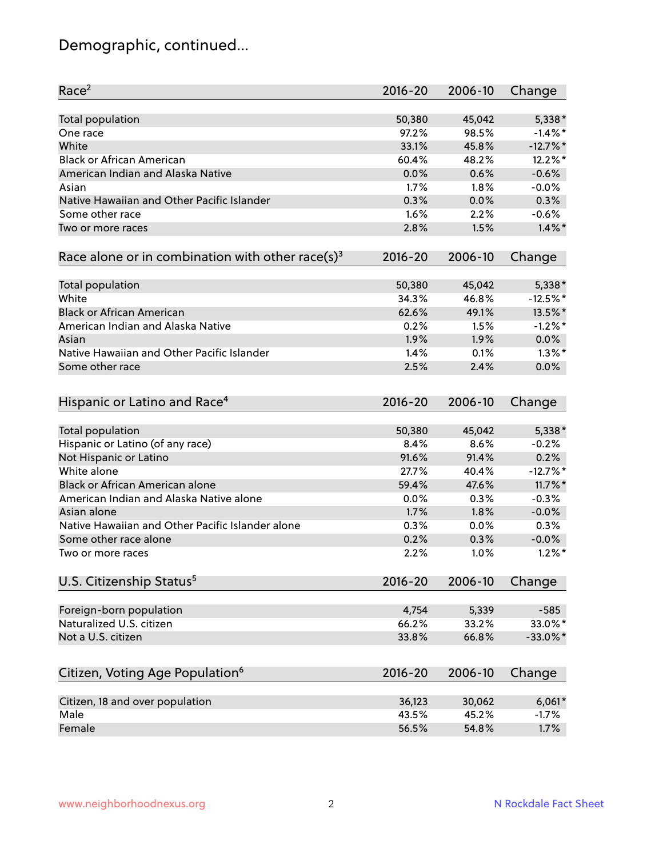# Demographic, continued...

| Race <sup>2</sup>                                            | $2016 - 20$ | 2006-10 | Change      |
|--------------------------------------------------------------|-------------|---------|-------------|
| <b>Total population</b>                                      | 50,380      | 45,042  | 5,338*      |
| One race                                                     | 97.2%       | 98.5%   | $-1.4\%$ *  |
| White                                                        | 33.1%       | 45.8%   | $-12.7%$ *  |
| <b>Black or African American</b>                             | 60.4%       | 48.2%   | 12.2%*      |
| American Indian and Alaska Native                            | 0.0%        | 0.6%    | $-0.6%$     |
| Asian                                                        | 1.7%        | 1.8%    | $-0.0%$     |
| Native Hawaiian and Other Pacific Islander                   | 0.3%        | 0.0%    | 0.3%        |
| Some other race                                              | 1.6%        | 2.2%    | $-0.6%$     |
| Two or more races                                            | 2.8%        | 1.5%    | $1.4\%$ *   |
| Race alone or in combination with other race(s) <sup>3</sup> | $2016 - 20$ | 2006-10 | Change      |
| Total population                                             | 50,380      | 45,042  | 5,338*      |
| White                                                        | 34.3%       | 46.8%   | $-12.5%$ *  |
| <b>Black or African American</b>                             | 62.6%       | 49.1%   | 13.5%*      |
| American Indian and Alaska Native                            | 0.2%        | 1.5%    | $-1.2%$ *   |
| Asian                                                        | 1.9%        | 1.9%    | 0.0%        |
| Native Hawaiian and Other Pacific Islander                   | 1.4%        | 0.1%    | $1.3\%$ *   |
|                                                              | 2.5%        | 2.4%    | 0.0%        |
| Some other race                                              |             |         |             |
| Hispanic or Latino and Race <sup>4</sup>                     | $2016 - 20$ | 2006-10 | Change      |
| Total population                                             | 50,380      | 45,042  | 5,338*      |
| Hispanic or Latino (of any race)                             | 8.4%        | 8.6%    | $-0.2%$     |
| Not Hispanic or Latino                                       | 91.6%       | 91.4%   | 0.2%        |
| White alone                                                  | 27.7%       | 40.4%   | $-12.7%$ *  |
| <b>Black or African American alone</b>                       | 59.4%       | 47.6%   | $11.7\%$ *  |
| American Indian and Alaska Native alone                      | 0.0%        | 0.3%    | $-0.3%$     |
| Asian alone                                                  | 1.7%        | 1.8%    | $-0.0%$     |
| Native Hawaiian and Other Pacific Islander alone             | 0.3%        | 0.0%    | 0.3%        |
| Some other race alone                                        | 0.2%        | 0.3%    | $-0.0%$     |
| Two or more races                                            | 2.2%        | 1.0%    | $1.2\%$ *   |
| U.S. Citizenship Status <sup>5</sup>                         | $2016 - 20$ | 2006-10 | Change      |
|                                                              |             |         |             |
| Foreign-born population                                      | 4,754       | 5,339   | $-585$      |
| Naturalized U.S. citizen                                     | 66.2%       | 33.2%   | 33.0%*      |
| Not a U.S. citizen                                           | 33.8%       | 66.8%   | $-33.0\%$ * |
| Citizen, Voting Age Population <sup>6</sup>                  | $2016 - 20$ | 2006-10 | Change      |
| Citizen, 18 and over population                              | 36,123      | 30,062  | $6,061*$    |
| Male                                                         | 43.5%       | 45.2%   | $-1.7%$     |
| Female                                                       | 56.5%       | 54.8%   | 1.7%        |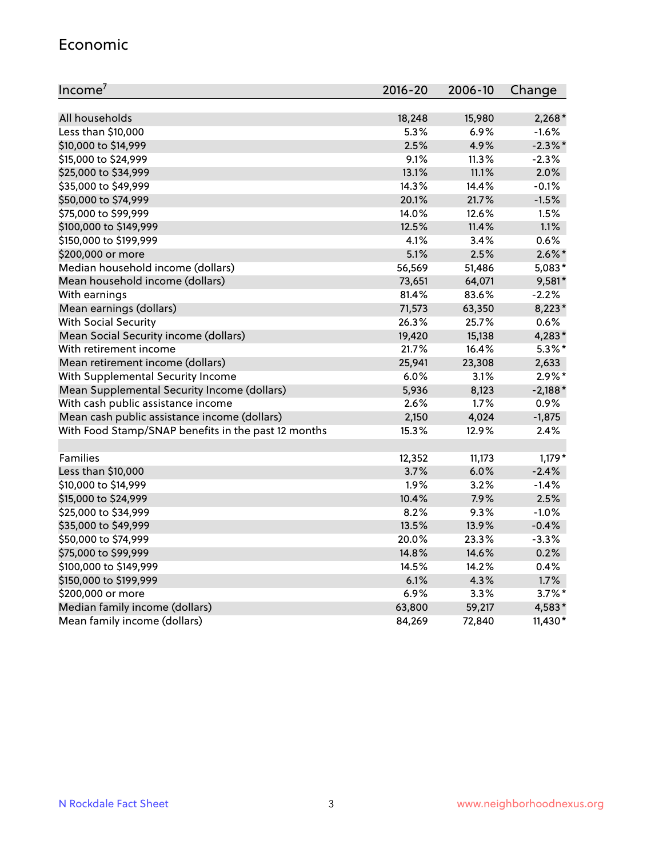#### Economic

| Income <sup>7</sup>                                 | 2016-20 | 2006-10 | Change     |
|-----------------------------------------------------|---------|---------|------------|
|                                                     |         |         |            |
| All households                                      | 18,248  | 15,980  | $2,268*$   |
| Less than \$10,000                                  | 5.3%    | 6.9%    | $-1.6%$    |
| \$10,000 to \$14,999                                | 2.5%    | 4.9%    | $-2.3\%$ * |
| \$15,000 to \$24,999                                | 9.1%    | 11.3%   | $-2.3%$    |
| \$25,000 to \$34,999                                | 13.1%   | 11.1%   | 2.0%       |
| \$35,000 to \$49,999                                | 14.3%   | 14.4%   | $-0.1%$    |
| \$50,000 to \$74,999                                | 20.1%   | 21.7%   | $-1.5%$    |
| \$75,000 to \$99,999                                | 14.0%   | 12.6%   | 1.5%       |
| \$100,000 to \$149,999                              | 12.5%   | 11.4%   | 1.1%       |
| \$150,000 to \$199,999                              | 4.1%    | 3.4%    | 0.6%       |
| \$200,000 or more                                   | 5.1%    | 2.5%    | $2.6\%$ *  |
| Median household income (dollars)                   | 56,569  | 51,486  | 5,083*     |
| Mean household income (dollars)                     | 73,651  | 64,071  | 9,581*     |
| With earnings                                       | 81.4%   | 83.6%   | $-2.2%$    |
| Mean earnings (dollars)                             | 71,573  | 63,350  | 8,223*     |
| <b>With Social Security</b>                         | 26.3%   | 25.7%   | 0.6%       |
| Mean Social Security income (dollars)               | 19,420  | 15,138  | 4,283*     |
| With retirement income                              | 21.7%   | 16.4%   | $5.3\%$ *  |
| Mean retirement income (dollars)                    | 25,941  | 23,308  | 2,633      |
| With Supplemental Security Income                   | 6.0%    | $3.1\%$ | $2.9\%*$   |
| Mean Supplemental Security Income (dollars)         | 5,936   | 8,123   | $-2,188*$  |
| With cash public assistance income                  | 2.6%    | 1.7%    | 0.9%       |
| Mean cash public assistance income (dollars)        | 2,150   | 4,024   | $-1,875$   |
| With Food Stamp/SNAP benefits in the past 12 months | 15.3%   | 12.9%   | 2.4%       |
|                                                     |         |         |            |
| Families                                            | 12,352  | 11,173  | $1,179*$   |
| Less than \$10,000                                  | 3.7%    | 6.0%    | $-2.4%$    |
| \$10,000 to \$14,999                                | 1.9%    | 3.2%    | $-1.4%$    |
| \$15,000 to \$24,999                                | 10.4%   | 7.9%    | 2.5%       |
| \$25,000 to \$34,999                                | 8.2%    | 9.3%    | $-1.0%$    |
| \$35,000 to \$49,999                                | 13.5%   | 13.9%   | $-0.4%$    |
| \$50,000 to \$74,999                                | 20.0%   | 23.3%   | $-3.3%$    |
| \$75,000 to \$99,999                                | 14.8%   | 14.6%   | 0.2%       |
| \$100,000 to \$149,999                              | 14.5%   | 14.2%   | 0.4%       |
| \$150,000 to \$199,999                              | 6.1%    | 4.3%    | 1.7%       |
| \$200,000 or more                                   | 6.9%    | 3.3%    | $3.7\%$ *  |
| Median family income (dollars)                      | 63,800  | 59,217  | 4,583*     |
| Mean family income (dollars)                        | 84,269  | 72,840  | $11,430*$  |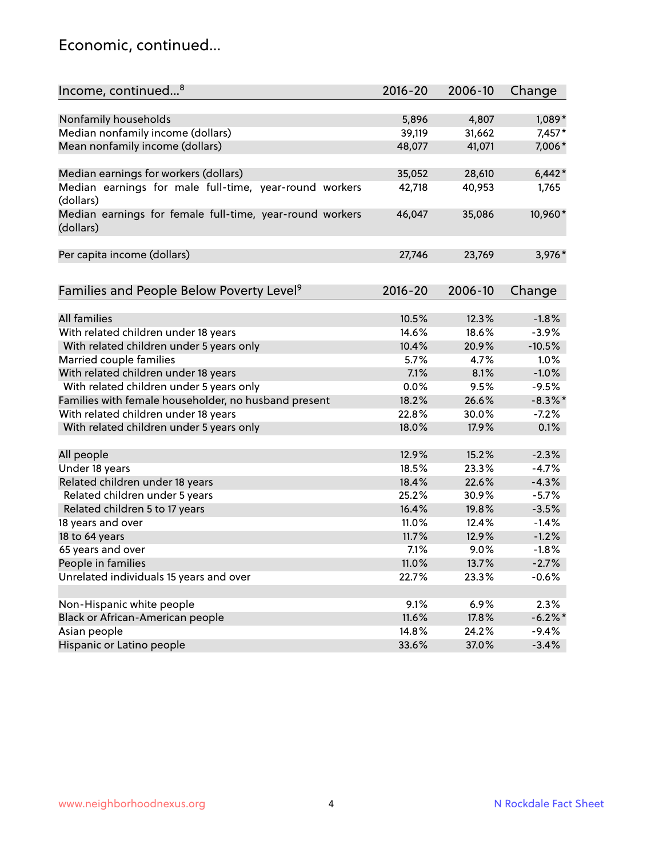### Economic, continued...

| Income, continued <sup>8</sup>                                        | $2016 - 20$ | 2006-10 | Change     |
|-----------------------------------------------------------------------|-------------|---------|------------|
|                                                                       |             |         |            |
| Nonfamily households                                                  | 5,896       | 4,807   | 1,089*     |
| Median nonfamily income (dollars)                                     | 39,119      | 31,662  | $7,457*$   |
| Mean nonfamily income (dollars)                                       | 48,077      | 41,071  | 7,006*     |
| Median earnings for workers (dollars)                                 | 35,052      | 28,610  | $6,442*$   |
| Median earnings for male full-time, year-round workers<br>(dollars)   | 42,718      | 40,953  | 1,765      |
| Median earnings for female full-time, year-round workers<br>(dollars) | 46,047      | 35,086  | 10,960*    |
| Per capita income (dollars)                                           | 27,746      | 23,769  | 3,976*     |
| Families and People Below Poverty Level <sup>9</sup>                  | $2016 - 20$ | 2006-10 |            |
|                                                                       |             |         | Change     |
| <b>All families</b>                                                   | 10.5%       | 12.3%   | $-1.8%$    |
| With related children under 18 years                                  | 14.6%       | 18.6%   | $-3.9%$    |
| With related children under 5 years only                              | 10.4%       | 20.9%   | $-10.5%$   |
| Married couple families                                               | 5.7%        | 4.7%    | 1.0%       |
| With related children under 18 years                                  | 7.1%        | 8.1%    | $-1.0%$    |
| With related children under 5 years only                              | 0.0%        | 9.5%    | $-9.5%$    |
| Families with female householder, no husband present                  | 18.2%       | 26.6%   | $-8.3\%$ * |
| With related children under 18 years                                  | 22.8%       | 30.0%   | $-7.2%$    |
| With related children under 5 years only                              | 18.0%       | 17.9%   | 0.1%       |
| All people                                                            | 12.9%       | 15.2%   | $-2.3%$    |
| Under 18 years                                                        | 18.5%       | 23.3%   | $-4.7%$    |
| Related children under 18 years                                       | 18.4%       | 22.6%   | $-4.3%$    |
| Related children under 5 years                                        | 25.2%       | 30.9%   | $-5.7%$    |
| Related children 5 to 17 years                                        | 16.4%       | 19.8%   | $-3.5%$    |
| 18 years and over                                                     | 11.0%       | 12.4%   | $-1.4%$    |
| 18 to 64 years                                                        | 11.7%       | 12.9%   | $-1.2%$    |
| 65 years and over                                                     | 7.1%        | 9.0%    | $-1.8%$    |
| People in families                                                    | 11.0%       | 13.7%   | $-2.7%$    |
| Unrelated individuals 15 years and over                               | 22.7%       | 23.3%   | $-0.6%$    |
|                                                                       |             |         |            |
| Non-Hispanic white people                                             | 9.1%        | 6.9%    | 2.3%       |
| Black or African-American people                                      | 11.6%       | 17.8%   | $-6.2\%$ * |
| Asian people                                                          | 14.8%       | 24.2%   | $-9.4%$    |
| Hispanic or Latino people                                             | 33.6%       | 37.0%   | $-3.4%$    |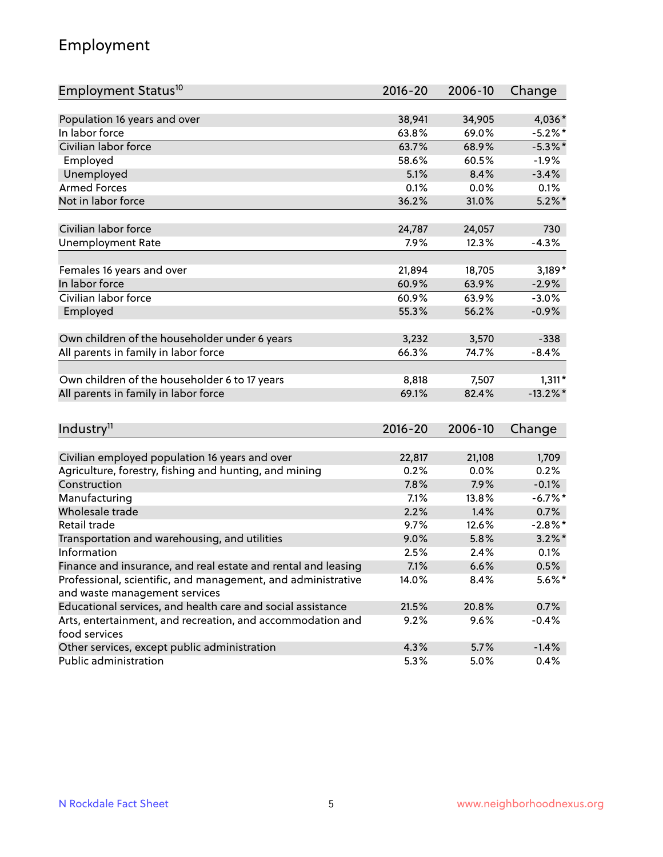# Employment

| Employment Status <sup>10</sup>                               | $2016 - 20$ | 2006-10 | Change      |
|---------------------------------------------------------------|-------------|---------|-------------|
|                                                               |             |         |             |
| Population 16 years and over                                  | 38,941      | 34,905  | 4,036*      |
| In labor force                                                | 63.8%       | 69.0%   | $-5.2%$ *   |
| Civilian labor force                                          | 63.7%       | 68.9%   | $-5.3\%$ *  |
| Employed                                                      | 58.6%       | 60.5%   | $-1.9%$     |
| Unemployed                                                    | 5.1%        | 8.4%    | $-3.4%$     |
| <b>Armed Forces</b>                                           | 0.1%        | 0.0%    | 0.1%        |
| Not in labor force                                            | 36.2%       | 31.0%   | $5.2\%$ *   |
| Civilian labor force                                          | 24,787      | 24,057  | 730         |
| <b>Unemployment Rate</b>                                      | 7.9%        | 12.3%   | $-4.3%$     |
|                                                               |             |         |             |
| Females 16 years and over                                     | 21,894      | 18,705  | $3,189*$    |
| In labor force                                                | 60.9%       | 63.9%   | $-2.9%$     |
| Civilian labor force                                          | 60.9%       | 63.9%   | $-3.0%$     |
| Employed                                                      | 55.3%       | 56.2%   | $-0.9%$     |
| Own children of the householder under 6 years                 | 3,232       | 3,570   | $-338$      |
| All parents in family in labor force                          | 66.3%       | 74.7%   | $-8.4%$     |
|                                                               |             |         |             |
| Own children of the householder 6 to 17 years                 | 8,818       | 7,507   | $1,311*$    |
| All parents in family in labor force                          | 69.1%       | 82.4%   | $-13.2\%$ * |
|                                                               |             |         |             |
| Industry <sup>11</sup>                                        | $2016 - 20$ | 2006-10 | Change      |
| Civilian employed population 16 years and over                | 22,817      | 21,108  | 1,709       |
| Agriculture, forestry, fishing and hunting, and mining        | 0.2%        | 0.0%    | 0.2%        |
| Construction                                                  | 7.8%        | 7.9%    | $-0.1%$     |
| Manufacturing                                                 | 7.1%        | 13.8%   | $-6.7%$ *   |
| Wholesale trade                                               | 2.2%        | 1.4%    | 0.7%        |
| Retail trade                                                  | 9.7%        | 12.6%   | $-2.8\%$ *  |
| Transportation and warehousing, and utilities                 | 9.0%        | 5.8%    | $3.2\%$ *   |
| Information                                                   | 2.5%        | 2.4%    | 0.1%        |
| Finance and insurance, and real estate and rental and leasing | 7.1%        | 6.6%    | 0.5%        |
| Professional, scientific, and management, and administrative  | 14.0%       | 8.4%    | $5.6\%$ *   |
| and waste management services                                 |             |         |             |
| Educational services, and health care and social assistance   | 21.5%       | 20.8%   | 0.7%        |
| Arts, entertainment, and recreation, and accommodation and    | 9.2%        | 9.6%    | $-0.4%$     |
| food services                                                 |             |         |             |
| Other services, except public administration                  | 4.3%        | 5.7%    | $-1.4%$     |
| Public administration                                         | 5.3%        | 5.0%    | 0.4%        |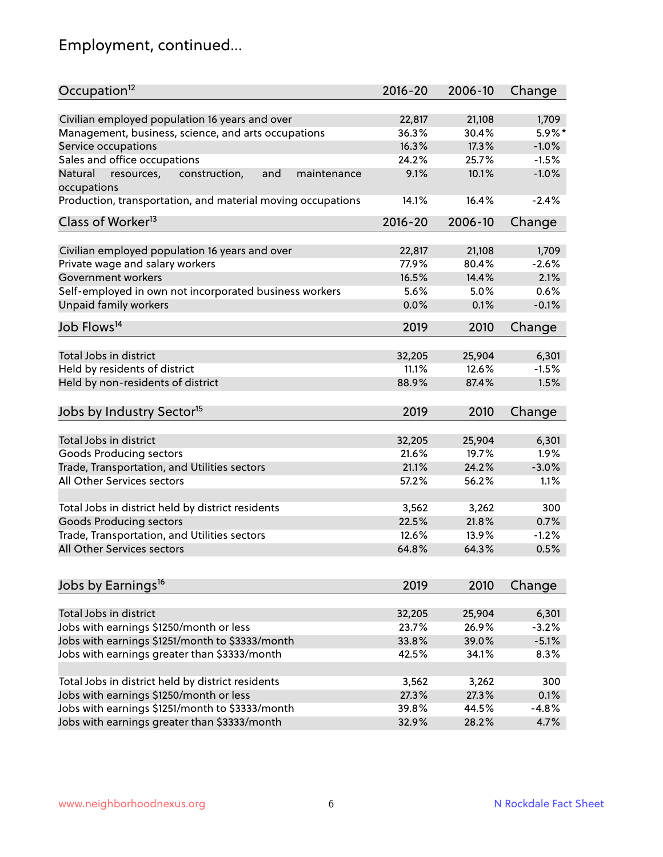# Employment, continued...

| Occupation <sup>12</sup>                                                    | $2016 - 20$    | 2006-10 | Change             |
|-----------------------------------------------------------------------------|----------------|---------|--------------------|
|                                                                             | 22,817         | 21,108  |                    |
| Civilian employed population 16 years and over                              |                |         | 1,709<br>$5.9\%$ * |
| Management, business, science, and arts occupations                         | 36.3%<br>16.3% | 30.4%   |                    |
| Service occupations                                                         |                | 17.3%   | $-1.0%$            |
| Sales and office occupations                                                | 24.2%          | 25.7%   | $-1.5%$            |
| Natural<br>and<br>resources,<br>construction,<br>maintenance<br>occupations | 9.1%           | 10.1%   | $-1.0%$            |
| Production, transportation, and material moving occupations                 | 14.1%          | 16.4%   | $-2.4%$            |
| Class of Worker <sup>13</sup>                                               | $2016 - 20$    | 2006-10 | Change             |
|                                                                             |                |         |                    |
| Civilian employed population 16 years and over                              | 22,817         | 21,108  | 1,709              |
| Private wage and salary workers                                             | 77.9%          | 80.4%   | $-2.6%$            |
| Government workers                                                          | 16.5%          | 14.4%   | 2.1%               |
| Self-employed in own not incorporated business workers                      | 5.6%           | 5.0%    | 0.6%               |
| Unpaid family workers                                                       | 0.0%           | 0.1%    | $-0.1%$            |
| Job Flows <sup>14</sup>                                                     | 2019           | 2010    | Change             |
|                                                                             |                |         |                    |
| Total Jobs in district                                                      | 32,205         | 25,904  | 6,301              |
| Held by residents of district                                               | 11.1%          | 12.6%   | $-1.5%$            |
| Held by non-residents of district                                           | 88.9%          | 87.4%   | 1.5%               |
|                                                                             |                |         |                    |
| Jobs by Industry Sector <sup>15</sup>                                       | 2019           | 2010    | Change             |
| Total Jobs in district                                                      | 32,205         | 25,904  | 6,301              |
| Goods Producing sectors                                                     | 21.6%          | 19.7%   | 1.9%               |
| Trade, Transportation, and Utilities sectors                                | 21.1%          | 24.2%   | $-3.0%$            |
| All Other Services sectors                                                  | 57.2%          | 56.2%   | 1.1%               |
|                                                                             |                |         |                    |
| Total Jobs in district held by district residents                           | 3,562          | 3,262   | 300                |
| <b>Goods Producing sectors</b>                                              | 22.5%          | 21.8%   | 0.7%               |
| Trade, Transportation, and Utilities sectors                                | 12.6%          | 13.9%   | $-1.2%$            |
| All Other Services sectors                                                  | 64.8%          | 64.3%   | 0.5%               |
|                                                                             |                |         |                    |
| Jobs by Earnings <sup>16</sup>                                              | 2019           | 2010    | Change             |
|                                                                             |                |         |                    |
| Total Jobs in district                                                      | 32,205         | 25,904  | 6,301              |
| Jobs with earnings \$1250/month or less                                     | 23.7%          | 26.9%   | $-3.2%$            |
| Jobs with earnings \$1251/month to \$3333/month                             | 33.8%          | 39.0%   | $-5.1%$            |
| Jobs with earnings greater than \$3333/month                                | 42.5%          | 34.1%   | 8.3%               |
| Total Jobs in district held by district residents                           |                |         | 300                |
|                                                                             | 3,562          | 3,262   |                    |
| Jobs with earnings \$1250/month or less                                     | 27.3%          | 27.3%   | 0.1%               |
| Jobs with earnings \$1251/month to \$3333/month                             | 39.8%          | 44.5%   | $-4.8%$            |
| Jobs with earnings greater than \$3333/month                                | 32.9%          | 28.2%   | 4.7%               |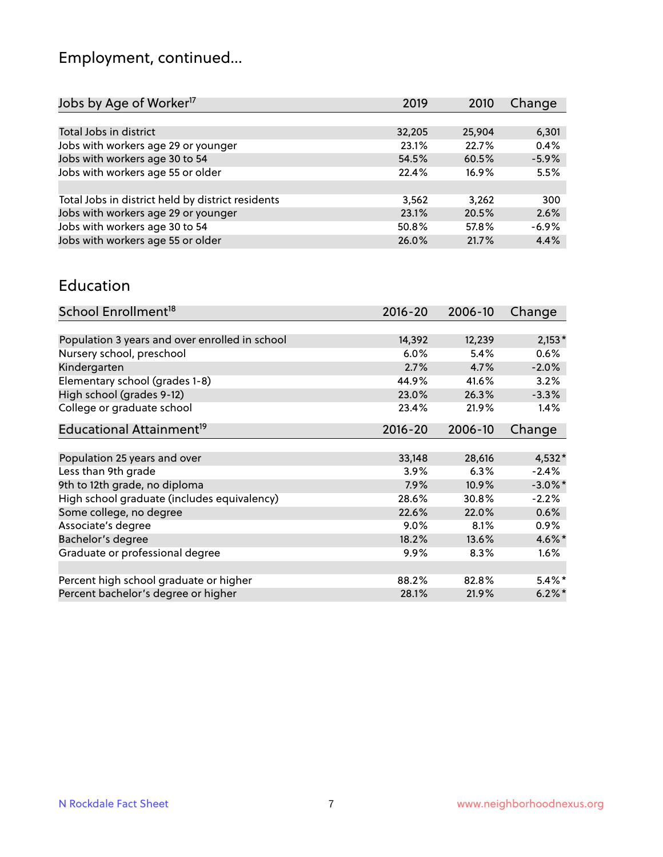# Employment, continued...

| Jobs by Age of Worker <sup>17</sup>               | 2019   | 2010   | Change  |
|---------------------------------------------------|--------|--------|---------|
|                                                   |        |        |         |
| Total Jobs in district                            | 32,205 | 25,904 | 6,301   |
| Jobs with workers age 29 or younger               | 23.1%  | 22.7%  | 0.4%    |
| Jobs with workers age 30 to 54                    | 54.5%  | 60.5%  | $-5.9%$ |
| Jobs with workers age 55 or older                 | 22.4%  | 16.9%  | 5.5%    |
|                                                   |        |        |         |
| Total Jobs in district held by district residents | 3,562  | 3,262  | 300     |
| Jobs with workers age 29 or younger               | 23.1%  | 20.5%  | 2.6%    |
| Jobs with workers age 30 to 54                    | 50.8%  | 57.8%  | $-6.9%$ |
| Jobs with workers age 55 or older                 | 26.0%  | 21.7%  | 4.4%    |
|                                                   |        |        |         |

#### Education

| School Enrollment <sup>18</sup>                | $2016 - 20$ | 2006-10 | Change     |
|------------------------------------------------|-------------|---------|------------|
|                                                |             |         |            |
| Population 3 years and over enrolled in school | 14,392      | 12,239  | $2,153*$   |
| Nursery school, preschool                      | 6.0%        | 5.4%    | $0.6\%$    |
| Kindergarten                                   | 2.7%        | 4.7%    | $-2.0%$    |
| Elementary school (grades 1-8)                 | 44.9%       | 41.6%   | 3.2%       |
| High school (grades 9-12)                      | 23.0%       | 26.3%   | $-3.3%$    |
| College or graduate school                     | 23.4%       | 21.9%   | $1.4\%$    |
| Educational Attainment <sup>19</sup>           | $2016 - 20$ | 2006-10 | Change     |
|                                                |             |         |            |
| Population 25 years and over                   | 33,148      | 28,616  | $4,532*$   |
| Less than 9th grade                            | 3.9%        | 6.3%    | $-2.4%$    |
| 9th to 12th grade, no diploma                  | 7.9%        | 10.9%   | $-3.0\%$ * |
| High school graduate (includes equivalency)    | 28.6%       | 30.8%   | $-2.2%$    |
| Some college, no degree                        | 22.6%       | 22.0%   | 0.6%       |
| Associate's degree                             | 9.0%        | 8.1%    | $0.9\%$    |
| Bachelor's degree                              | 18.2%       | 13.6%   | 4.6%*      |
| Graduate or professional degree                | $9.9\%$     | 8.3%    | $1.6\%$    |
| Percent high school graduate or higher         | 88.2%       | 82.8%   | $5.4\%$ *  |
| Percent bachelor's degree or higher            | 28.1%       | 21.9%   | $6.2\%$ *  |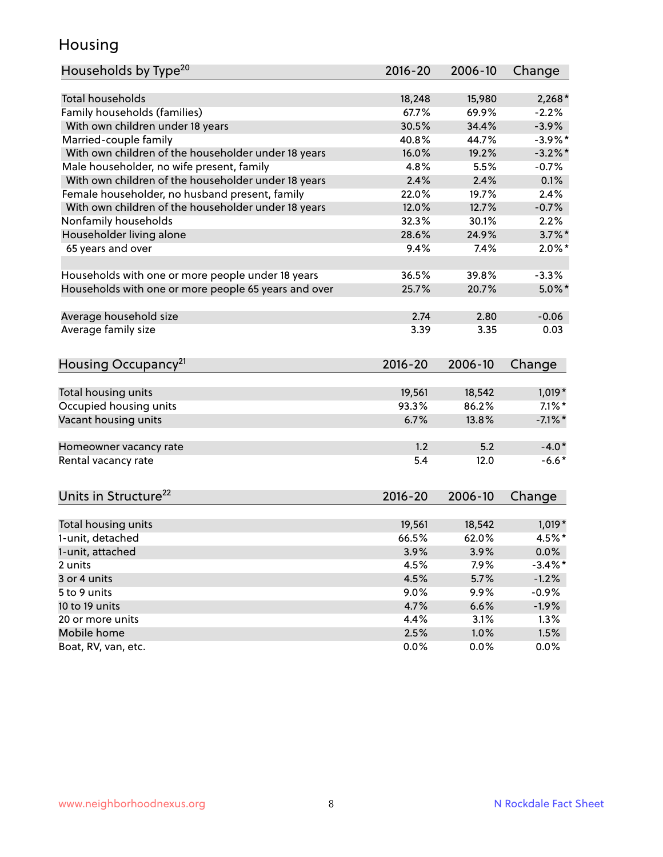### Housing

| Households by Type <sup>20</sup>                     | $2016 - 20$     | 2006-10         | Change            |
|------------------------------------------------------|-----------------|-----------------|-------------------|
|                                                      |                 |                 |                   |
| <b>Total households</b>                              | 18,248          | 15,980          | $2,268*$          |
| Family households (families)                         | 67.7%           | 69.9%           | $-2.2%$           |
| With own children under 18 years                     | 30.5%           | 34.4%           | $-3.9%$           |
| Married-couple family                                | 40.8%           | 44.7%           | $-3.9\%$ *        |
| With own children of the householder under 18 years  | 16.0%           | 19.2%           | $-3.2%$ *         |
| Male householder, no wife present, family            | 4.8%            | 5.5%            | $-0.7%$           |
| With own children of the householder under 18 years  | 2.4%            | 2.4%            | 0.1%              |
| Female householder, no husband present, family       | 22.0%           | 19.7%           | 2.4%              |
| With own children of the householder under 18 years  | 12.0%           | 12.7%           | $-0.7%$           |
| Nonfamily households                                 | 32.3%           | 30.1%           | 2.2%              |
| Householder living alone                             | 28.6%           | 24.9%           | $3.7\%$ *         |
| 65 years and over                                    | 9.4%            | 7.4%            | $2.0\%$ *         |
|                                                      |                 |                 |                   |
| Households with one or more people under 18 years    | 36.5%           | 39.8%           | $-3.3%$           |
| Households with one or more people 65 years and over | 25.7%           | 20.7%           | $5.0\%$ *         |
| Average household size                               | 2.74            | 2.80            | $-0.06$           |
| Average family size                                  | 3.39            | 3.35            | 0.03              |
|                                                      |                 |                 |                   |
| Housing Occupancy <sup>21</sup>                      | $2016 - 20$     | 2006-10         | Change            |
|                                                      |                 |                 |                   |
| Total housing units                                  | 19,561          | 18,542          | $1,019*$          |
| Occupied housing units                               | 93.3%           | 86.2%           | $7.1\%$ *         |
| Vacant housing units                                 | 6.7%            | 13.8%           | $-7.1\%$ *        |
| Homeowner vacancy rate                               | 1.2             | 5.2             | $-4.0*$           |
| Rental vacancy rate                                  | 5.4             | 12.0            | $-6.6*$           |
|                                                      |                 |                 |                   |
| Units in Structure <sup>22</sup>                     | 2016-20         | 2006-10         | Change            |
|                                                      |                 |                 |                   |
| Total housing units                                  | 19,561<br>66.5% | 18,542<br>62.0% | $1,019*$<br>4.5%* |
| 1-unit, detached                                     |                 |                 |                   |
| 1-unit, attached                                     | 3.9%            | 3.9%            | $0.0\%$           |
| 2 units                                              | 4.5%            | 7.9%            | $-3.4\%$ *        |
| 3 or 4 units                                         | 4.5%            | 5.7%            | $-1.2%$           |
| 5 to 9 units                                         | $9.0\%$         | 9.9%            | $-0.9%$           |
| 10 to 19 units                                       | 4.7%            | 6.6%            | $-1.9\%$          |
| 20 or more units                                     | 4.4%            | 3.1%            | 1.3%              |
| Mobile home                                          | 2.5%            | 1.0%            | 1.5%              |
| Boat, RV, van, etc.                                  | 0.0%            | 0.0%            | 0.0%              |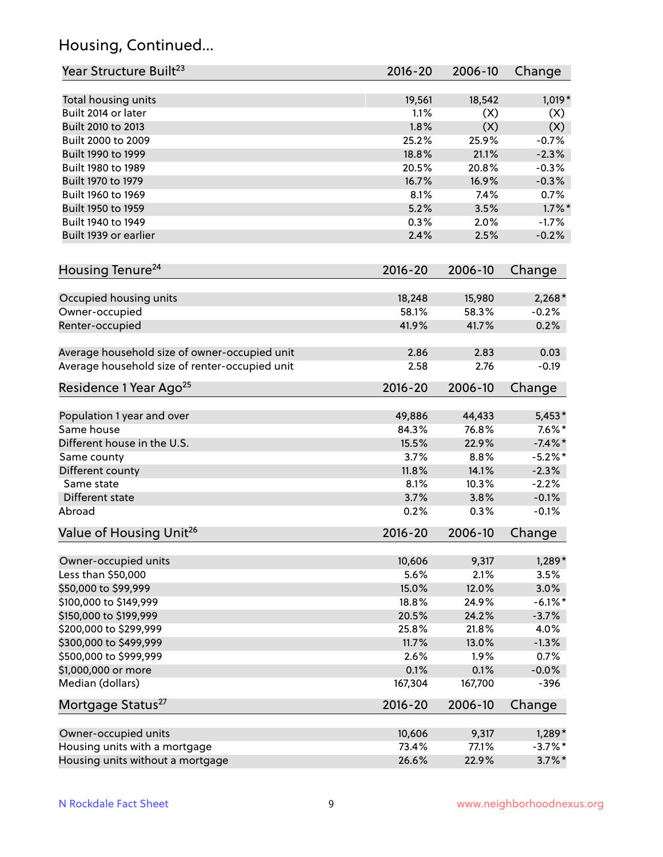# Housing, Continued...

| Year Structure Built <sup>23</sup>             | 2016-20     | 2006-10 | Change     |
|------------------------------------------------|-------------|---------|------------|
| Total housing units                            | 19,561      | 18,542  | 1,019*     |
| Built 2014 or later                            | 1.1%        | (X)     | (X)        |
| Built 2010 to 2013                             | 1.8%        | (X)     | (X)        |
| Built 2000 to 2009                             | 25.2%       | 25.9%   | $-0.7%$    |
| Built 1990 to 1999                             | 18.8%       | 21.1%   | $-2.3%$    |
| Built 1980 to 1989                             | 20.5%       | 20.8%   | $-0.3%$    |
| Built 1970 to 1979                             | 16.7%       | 16.9%   | $-0.3%$    |
| Built 1960 to 1969                             | 8.1%        | 7.4%    | 0.7%       |
| Built 1950 to 1959                             | 5.2%        | 3.5%    | $1.7\%$ *  |
| Built 1940 to 1949                             | 0.3%        | 2.0%    | $-1.7%$    |
| Built 1939 or earlier                          | 2.4%        | 2.5%    | $-0.2%$    |
| Housing Tenure <sup>24</sup>                   | $2016 - 20$ | 2006-10 | Change     |
|                                                |             |         |            |
| Occupied housing units                         | 18,248      | 15,980  | $2,268*$   |
| Owner-occupied                                 | 58.1%       | 58.3%   | $-0.2%$    |
| Renter-occupied                                | 41.9%       | 41.7%   | 0.2%       |
| Average household size of owner-occupied unit  | 2.86        | 2.83    | 0.03       |
| Average household size of renter-occupied unit | 2.58        | 2.76    | $-0.19$    |
| Residence 1 Year Ago <sup>25</sup>             | $2016 - 20$ | 2006-10 | Change     |
|                                                |             |         |            |
| Population 1 year and over                     | 49,886      | 44,433  | $5,453*$   |
| Same house                                     | 84.3%       | 76.8%   | $7.6\%$ *  |
| Different house in the U.S.                    | 15.5%       | 22.9%   | $-7.4\%$ * |
| Same county                                    | 3.7%        | 8.8%    | $-5.2%$ *  |
| Different county                               | 11.8%       | 14.1%   | $-2.3%$    |
| Same state                                     | 8.1%        | 10.3%   | $-2.2%$    |
| Different state                                | 3.7%        | 3.8%    | $-0.1%$    |
| Abroad                                         | 0.2%        | 0.3%    | $-0.1%$    |
| Value of Housing Unit <sup>26</sup>            | $2016 - 20$ | 2006-10 | Change     |
| Owner-occupied units                           | 10,606      | 9,317   | $1,289*$   |
| Less than \$50,000                             | 5.6%        | 2.1%    | 3.5%       |
| \$50,000 to \$99,999                           | 15.0%       | 12.0%   | 3.0%       |
| \$100,000 to \$149,999                         | 18.8%       | 24.9%   | $-6.1\%$ * |
| \$150,000 to \$199,999                         | 20.5%       | 24.2%   | $-3.7%$    |
| \$200,000 to \$299,999                         | 25.8%       | 21.8%   | 4.0%       |
| \$300,000 to \$499,999                         | 11.7%       | 13.0%   | $-1.3%$    |
| \$500,000 to \$999,999                         | 2.6%        | 1.9%    | 0.7%       |
| \$1,000,000 or more                            | 0.1%        | 0.1%    | $-0.0%$    |
| Median (dollars)                               | 167,304     | 167,700 | $-396$     |
| Mortgage Status <sup>27</sup>                  | $2016 - 20$ | 2006-10 | Change     |
| Owner-occupied units                           | 10,606      | 9,317   | $1,289*$   |
| Housing units with a mortgage                  | 73.4%       | 77.1%   | $-3.7\%$ * |
| Housing units without a mortgage               | 26.6%       | 22.9%   | $3.7\%$ *  |
|                                                |             |         |            |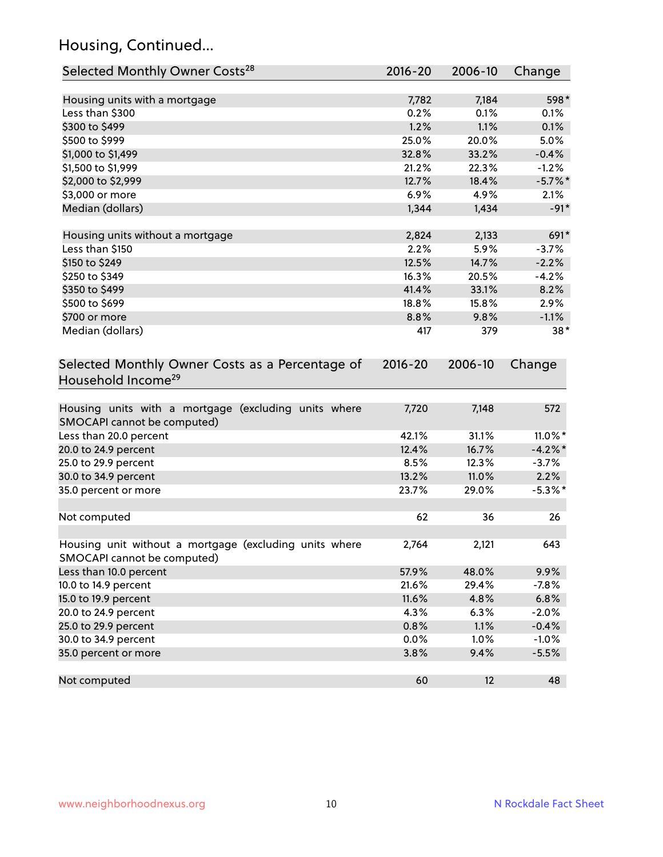# Housing, Continued...

| Selected Monthly Owner Costs <sup>28</sup>                                            | 2016-20 | 2006-10 | Change     |
|---------------------------------------------------------------------------------------|---------|---------|------------|
| Housing units with a mortgage                                                         | 7,782   | 7,184   | 598*       |
| Less than \$300                                                                       | 0.2%    | 0.1%    | 0.1%       |
| \$300 to \$499                                                                        | 1.2%    | 1.1%    | 0.1%       |
| \$500 to \$999                                                                        | 25.0%   | 20.0%   | 5.0%       |
| \$1,000 to \$1,499                                                                    | 32.8%   | 33.2%   | $-0.4%$    |
| \$1,500 to \$1,999                                                                    | 21.2%   | 22.3%   | $-1.2%$    |
| \$2,000 to \$2,999                                                                    | 12.7%   | 18.4%   | $-5.7%$ *  |
| \$3,000 or more                                                                       | 6.9%    | 4.9%    | 2.1%       |
| Median (dollars)                                                                      | 1,344   | 1,434   | $-91*$     |
| Housing units without a mortgage                                                      | 2,824   | 2,133   | 691*       |
| Less than \$150                                                                       | 2.2%    | 5.9%    | $-3.7%$    |
| \$150 to \$249                                                                        | 12.5%   | 14.7%   | $-2.2%$    |
| \$250 to \$349                                                                        | 16.3%   | 20.5%   | $-4.2%$    |
| \$350 to \$499                                                                        | 41.4%   | 33.1%   | 8.2%       |
| \$500 to \$699                                                                        | 18.8%   | 15.8%   | 2.9%       |
| \$700 or more                                                                         | 8.8%    | 9.8%    | $-1.1%$    |
| Median (dollars)                                                                      | 417     | 379     | $38*$      |
| Selected Monthly Owner Costs as a Percentage of<br>Household Income <sup>29</sup>     |         |         | Change     |
| Housing units with a mortgage (excluding units where<br>SMOCAPI cannot be computed)   | 7,720   | 7,148   | 572        |
| Less than 20.0 percent                                                                | 42.1%   | 31.1%   | $11.0\%$ * |
| 20.0 to 24.9 percent                                                                  | 12.4%   | 16.7%   | $-4.2\%$ * |
| 25.0 to 29.9 percent                                                                  | 8.5%    | 12.3%   | $-3.7%$    |
| 30.0 to 34.9 percent                                                                  | 13.2%   | 11.0%   | 2.2%       |
| 35.0 percent or more                                                                  | 23.7%   | 29.0%   | $-5.3\%$ * |
| Not computed                                                                          | 62      | 36      | 26         |
| Housing unit without a mortgage (excluding units where<br>SMOCAPI cannot be computed) | 2,764   | 2,121   | 643        |
| Less than 10.0 percent                                                                | 57.9%   | 48.0%   | 9.9%       |
| 10.0 to 14.9 percent                                                                  | 21.6%   | 29.4%   | $-7.8%$    |
| 15.0 to 19.9 percent                                                                  | 11.6%   | 4.8%    | 6.8%       |
| 20.0 to 24.9 percent                                                                  | 4.3%    | 6.3%    | $-2.0%$    |
| 25.0 to 29.9 percent                                                                  | 0.8%    | 1.1%    | $-0.4%$    |
| 30.0 to 34.9 percent                                                                  | 0.0%    | 1.0%    | $-1.0%$    |
| 35.0 percent or more                                                                  | 3.8%    | 9.4%    | $-5.5%$    |
| Not computed                                                                          | 60      | 12      | 48         |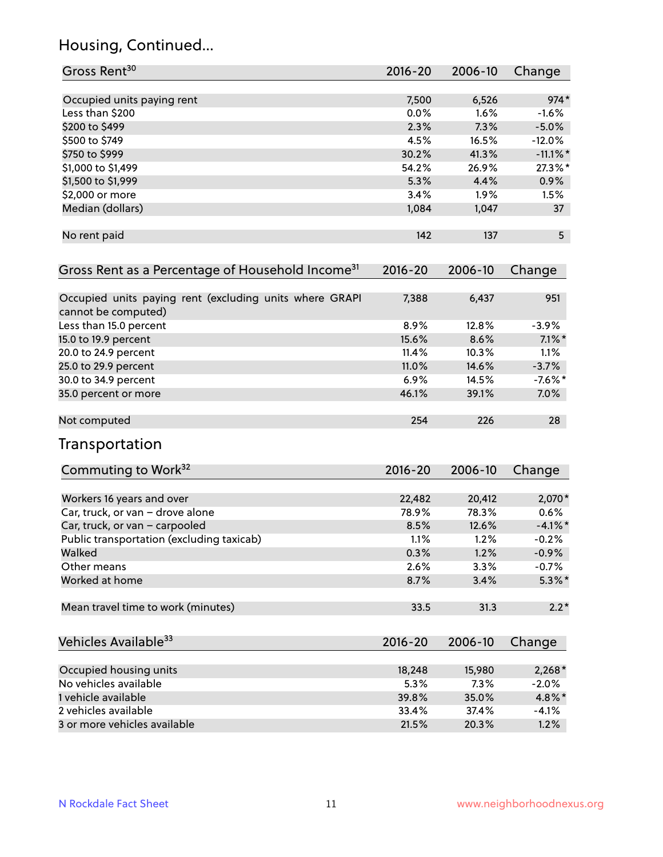# Housing, Continued...

| Gross Rent <sup>30</sup>                                                       | 2016-20     | 2006-10 | Change      |
|--------------------------------------------------------------------------------|-------------|---------|-------------|
| Occupied units paying rent                                                     | 7,500       | 6,526   | $974*$      |
| Less than \$200                                                                | 0.0%        | 1.6%    | $-1.6%$     |
| \$200 to \$499                                                                 | 2.3%        | 7.3%    | $-5.0%$     |
| \$500 to \$749                                                                 | 4.5%        | 16.5%   | $-12.0%$    |
| \$750 to \$999                                                                 | 30.2%       | 41.3%   | $-11.1\%$ * |
| \$1,000 to \$1,499                                                             | 54.2%       | 26.9%   | 27.3%*      |
| \$1,500 to \$1,999                                                             | 5.3%        | 4.4%    | 0.9%        |
| \$2,000 or more                                                                | 3.4%        | 1.9%    | 1.5%        |
| Median (dollars)                                                               | 1,084       | 1,047   | 37          |
| No rent paid                                                                   | 142         | 137     | 5           |
| Gross Rent as a Percentage of Household Income <sup>31</sup>                   | $2016 - 20$ | 2006-10 | Change      |
| Occupied units paying rent (excluding units where GRAPI<br>cannot be computed) | 7,388       | 6,437   | 951         |
| Less than 15.0 percent                                                         | 8.9%        | 12.8%   | $-3.9%$     |
| 15.0 to 19.9 percent                                                           | 15.6%       | 8.6%    | $7.1\%$ *   |
| 20.0 to 24.9 percent                                                           | 11.4%       | 10.3%   | 1.1%        |
| 25.0 to 29.9 percent                                                           | 11.0%       | 14.6%   | $-3.7%$     |
| 30.0 to 34.9 percent                                                           | 6.9%        | 14.5%   | $-7.6%$ *   |
| 35.0 percent or more                                                           | 46.1%       | 39.1%   | 7.0%        |
| Not computed                                                                   | 254         | 226     | 28          |
| Transportation                                                                 |             |         |             |
| Commuting to Work <sup>32</sup>                                                | 2016-20     | 2006-10 | Change      |
| Workers 16 years and over                                                      | 22,482      | 20,412  | 2,070*      |
| Car, truck, or van - drove alone                                               | 78.9%       | 78.3%   | 0.6%        |
| Car, truck, or van - carpooled                                                 | 8.5%        | 12.6%   | $-4.1\%$ *  |
| Public transportation (excluding taxicab)                                      | 1.1%        | 1.2%    | $-0.2%$     |
| Walked                                                                         | 0.3%        | 1.2%    | $-0.9%$     |
| Other means                                                                    | 2.6%        | 3.3%    | $-0.7%$     |
| Worked at home                                                                 | 8.7%        | 3.4%    | $5.3\%$ *   |
| Mean travel time to work (minutes)                                             | 33.5        | 31.3    | $2.2*$      |
| Vehicles Available <sup>33</sup>                                               | 2016-20     | 2006-10 | Change      |
| Occupied housing units                                                         | 18,248      | 15,980  | $2,268*$    |
| No vehicles available                                                          | 5.3%        | 7.3%    | $-2.0%$     |
| 1 vehicle available                                                            | 39.8%       | 35.0%   | 4.8%*       |
| 2 vehicles available                                                           | 33.4%       | 37.4%   | $-4.1%$     |
| 3 or more vehicles available                                                   | 21.5%       | 20.3%   | 1.2%        |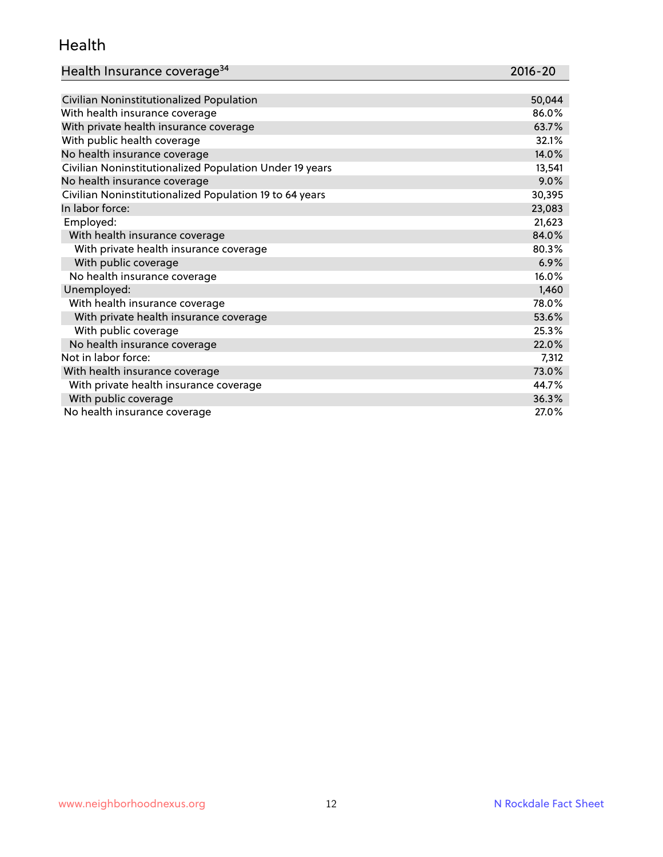#### Health

| Health Insurance coverage <sup>34</sup> | 2016-20 |
|-----------------------------------------|---------|
|-----------------------------------------|---------|

| Civilian Noninstitutionalized Population                | 50,044 |
|---------------------------------------------------------|--------|
| With health insurance coverage                          | 86.0%  |
| With private health insurance coverage                  | 63.7%  |
| With public health coverage                             | 32.1%  |
| No health insurance coverage                            | 14.0%  |
| Civilian Noninstitutionalized Population Under 19 years | 13,541 |
| No health insurance coverage                            | 9.0%   |
| Civilian Noninstitutionalized Population 19 to 64 years | 30,395 |
| In labor force:                                         | 23,083 |
| Employed:                                               | 21,623 |
| With health insurance coverage                          | 84.0%  |
| With private health insurance coverage                  | 80.3%  |
| With public coverage                                    | 6.9%   |
| No health insurance coverage                            | 16.0%  |
| Unemployed:                                             | 1,460  |
| With health insurance coverage                          | 78.0%  |
| With private health insurance coverage                  | 53.6%  |
| With public coverage                                    | 25.3%  |
| No health insurance coverage                            | 22.0%  |
| Not in labor force:                                     | 7,312  |
| With health insurance coverage                          | 73.0%  |
| With private health insurance coverage                  | 44.7%  |
| With public coverage                                    | 36.3%  |
| No health insurance coverage                            | 27.0%  |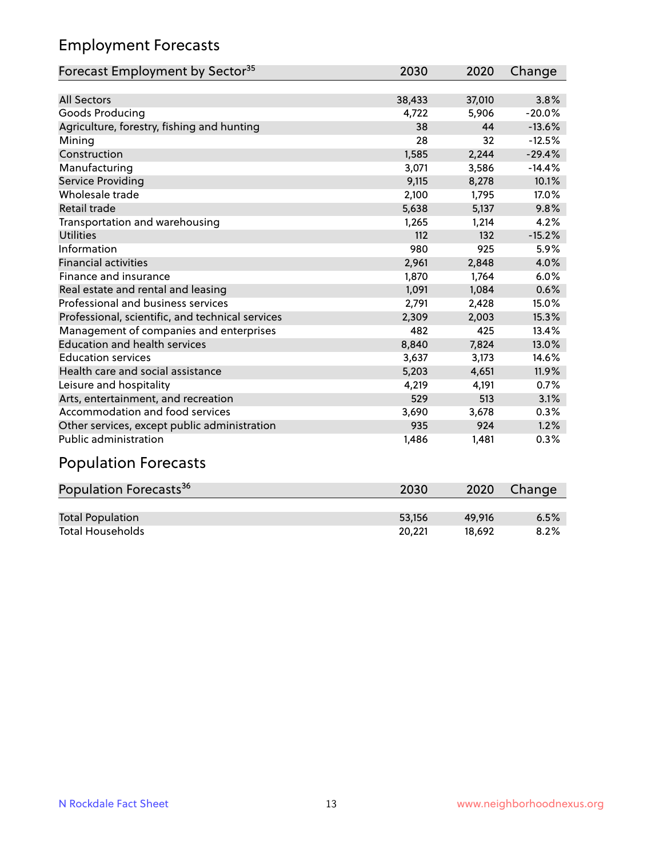### Employment Forecasts

| Forecast Employment by Sector <sup>35</sup>      | 2030   | 2020   | Change   |
|--------------------------------------------------|--------|--------|----------|
|                                                  |        |        |          |
| <b>All Sectors</b>                               | 38,433 | 37,010 | 3.8%     |
| Goods Producing                                  | 4,722  | 5,906  | $-20.0%$ |
| Agriculture, forestry, fishing and hunting       | 38     | 44     | $-13.6%$ |
| Mining                                           | 28     | 32     | $-12.5%$ |
| Construction                                     | 1,585  | 2,244  | $-29.4%$ |
| Manufacturing                                    | 3,071  | 3,586  | $-14.4%$ |
| Service Providing                                | 9,115  | 8,278  | 10.1%    |
| Wholesale trade                                  | 2,100  | 1,795  | 17.0%    |
| <b>Retail trade</b>                              | 5,638  | 5,137  | 9.8%     |
| Transportation and warehousing                   | 1,265  | 1,214  | 4.2%     |
| <b>Utilities</b>                                 | 112    | 132    | $-15.2%$ |
| Information                                      | 980    | 925    | 5.9%     |
| <b>Financial activities</b>                      | 2,961  | 2,848  | 4.0%     |
| Finance and insurance                            | 1,870  | 1,764  | 6.0%     |
| Real estate and rental and leasing               | 1,091  | 1,084  | 0.6%     |
| Professional and business services               | 2,791  | 2,428  | 15.0%    |
| Professional, scientific, and technical services | 2,309  | 2,003  | 15.3%    |
| Management of companies and enterprises          | 482    | 425    | 13.4%    |
| <b>Education and health services</b>             | 8,840  | 7,824  | 13.0%    |
| <b>Education services</b>                        | 3,637  | 3,173  | 14.6%    |
| Health care and social assistance                | 5,203  | 4,651  | 11.9%    |
| Leisure and hospitality                          | 4,219  | 4,191  | 0.7%     |
| Arts, entertainment, and recreation              | 529    | 513    | 3.1%     |
| Accommodation and food services                  | 3,690  | 3,678  | 0.3%     |
| Other services, except public administration     | 935    | 924    | 1.2%     |
| <b>Public administration</b>                     | 1,486  | 1,481  | 0.3%     |
| Population Eorgaets                              |        |        |          |

#### Population Forecasts Population Forecasts<sup>36</sup> 2030 2020 Change Total Population 53,156 49,916 6.5% Total Households